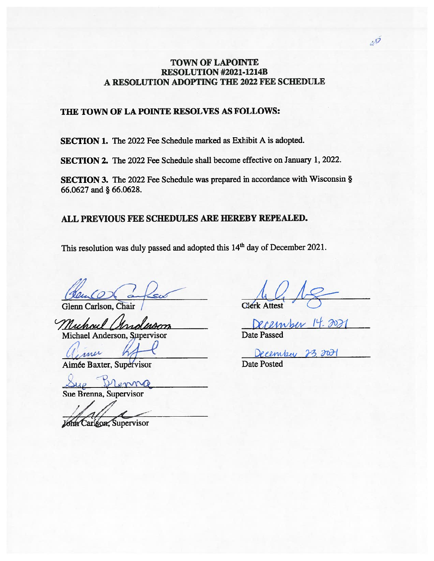# TOWN OF LAPOINTE RESOLUTION #2021-1214B A RESOLUTION ADOPTING THE 2022 FEE SCHEDULE

# THE TOWN OF LA POINTE RESOLVES AS FOLLOWS:

SECTION 1. The 2022 Fee Schedule marked as Exhibit A is adopted.

SECTION 2. The 2022 Fee Schedule shall become effective on January 1, 2022.

SECTION 3. The <sup>2022</sup> Fee Schedule was prepare<sup>d</sup> in accordance with Wisconsin § 66.0627 and § 66.0628.

# ALL PREVIOUS FEE SCHEDULES ARE HEREBY REPEALED.

This resolution was duly passed and adopted this 14<sup>th</sup> day of December 2021.

Glenn Carison, Chair /

Muhoul Michael Anderson, Supervisor Underson

 $\sqrt{1}$ mer

Aimée Baxter, Supervisor

Dramp  $-1$ 

Sue Brenna, Supervisor

John Carlson, Supervisor

Merk Attest

ember 14.2021 Date Passed

December

Date Posted

 $u^{\mathcal{G}}$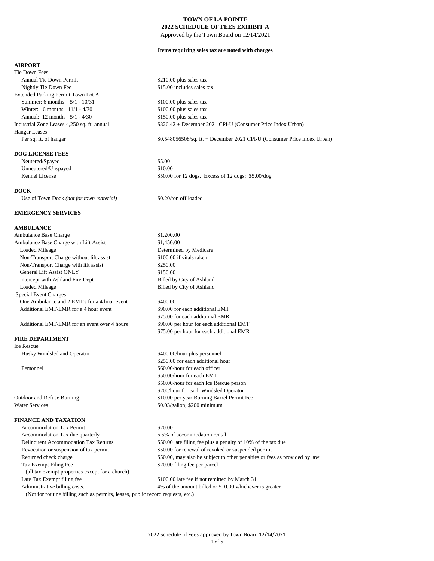Approved by the Town Board on 12/14/2021

#### **Items requiring sales tax are noted with charges**

#### **AIRPORT**

Tie Down Fees Annual Tie Down Permit  $$210.00$  plus sales tax Nightly Tie Down Fee  $$15.00$  includes sales tax Extended Parking Permit Town Lot A Summer: 6 months 5/1 - 10/31 \$100.00 plus sales tax Winter: 6 months 11/1 - 4/30 \$100.00 plus sales tax Annual: 12 months 5/1 - 4/30 \$150.00 plus sales tax Hangar Leases Per sq. ft. of hangar

#### **DOG LICENSE FEES**

Neutered/Spayed \$5.00 Unneutered/Unspayed \$10.00

## **DOCK**

Use of Town Dock (not for town material) \$0.20/ton off loaded

#### **EMERGENCY SERVICES**

## **AMBULANCE**

Ambulance Base Charge  $$1,200.00$ Ambulance Base Charge with Lift Assist \$1,450.00 Loaded Mileage Determined by Medicare Non-Transport Charge without lift assist \$100.00 if vitals taken Non-Transport Charge with lift assist \$250.00 General Lift Assist ONLY \$150.00 Intercept with Ashland Fire Dept Billed by City of Ashland Loaded Mileage Billed by City of Ashland Special Event Charges One Ambulance and 2 EMT's for a 4 hour event \$400.00 Additional EMT/EMR for a 4 hour event \$90.00 for each additional EMT

## **FIRE DEPARTMENT**

Ice Rescue

Husky Windsled and Operator \$400.00/hour plus personnel

## **FINANCE AND TAXATION**

Accommodation Tax Permit \$20.00 Accommodation Tax due quarterly 6.5% of accommodation rental Tax Exempt Filing Fee \$20.00 filing fee per parcel (all tax exempt properties except for a church) Late Tax Exempt filing fee \$100.00 late fee if not remitted by March 31

Industrial Zone Leases 4,250 sq. ft. annual \$826.42 + December 2021 CPI-U (Consumer Price Index Urban)

\$0.548056508/sq. ft. + December 2021 CPI-U (Consumer Price Index Urban)

Kennel License  $$50.00$  for 12 dogs. Excess of 12 dogs: \$5.00/dog

\$75.00 for each additional EMR Additional EMT/EMR for an event over 4 hours \$90.00 per hour for each additional EMT \$75.00 per hour for each additional EMR

\$250.00 for each additional hour Personnel  $\frac{860.00}{h}$  and  $\frac{860.00}{h}$  and  $\frac{860.00}{h}$  and  $\frac{60.00}{h}$  and  $\frac{60.00}{h}$  and  $\frac{60.00}{h}$  and  $\frac{60.00}{h}$  and  $\frac{60.00}{h}$  and  $\frac{60.00}{h}$  and  $\frac{60.00}{h}$  and  $\frac{60.00}{h}$  and  $\frac{60.00}{h$ \$50.00/hour for each EMT \$50.00/hour for each Ice Rescue person \$200/hour for each Windsled Operator Outdoor and Refuse Burning \$10.00 per year Burning Barrel Permit Fee Water Services  $$0.03/gallon; $200 minimum$ 

 Delinquent Accommodation Tax Returns \$50.00 late filing fee plus a penalty of 10% of the tax due Revocation or suspension of tax permit \$50.00 for renewal of revoked or suspended permit Returned check charge \$50.00, may also be subject to other penalties or fees as provided by law

Administrative billing costs. 4% of the amount billed or \$10.00 whichever is greater

(Not for routine billing such as permits, leases, public record requests, etc.)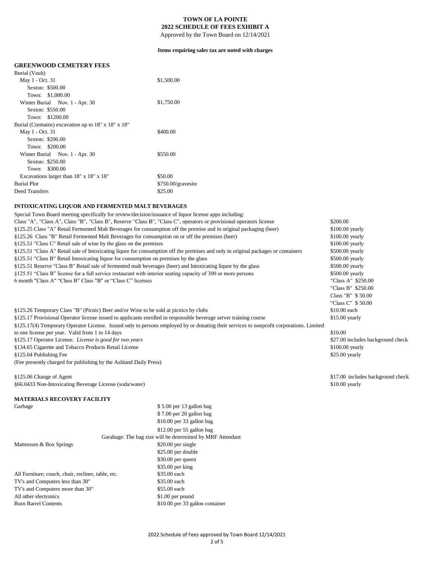Approved by the Town Board on 12/14/2021

#### **Items requiring sales tax are noted with charges**

## **GREENWOOD CEMETERY FEES**

| Burial (Vault)                                     |                    |
|----------------------------------------------------|--------------------|
| May 1 - Oct. 31                                    | \$1,500.00         |
| Sexton: \$500.00                                   |                    |
| Town: \$1,000.00                                   |                    |
| Winter Burial Nov. 1 - Apr. 30                     | \$1,750.00         |
| Sexton: \$550.00                                   |                    |
| Town: \$1200.00                                    |                    |
| Burial (Cremains) excavation up to 18" x 18" x 18" |                    |
| May 1 - Oct. 31                                    | \$400.00           |
| Sexton: \$200.00                                   |                    |
| Town: \$200.00                                     |                    |
| Winter Burial Nov. 1 - Apr. 30                     | \$550.00           |
| Sexton: \$250.00                                   |                    |
| Town: \$300.00                                     |                    |
| Excavations larger than 18" x 18" x 18"            | \$50.00            |
| <b>Burial Plot</b>                                 | \$750.00/gravesite |
| Deed Transfers                                     | \$25.00            |
|                                                    |                    |

## **INTOXICATING LIQUOR AND FERMENTED MALT BEVERAGES**

6 month "Class A" "Class B" Class "B" or "Class C" licenses "Class A" \$250.00 §125.51 Reserve "Class B" Retail sale of fermented malt beverages (beer) and Intoxicating liquor by the glass Special Town Board meeting specifically for review/decision/issuance of liquor license apps including: Class "A", "Class A", Class "B", "Class B", Reserve "Class B", "Class C", operators or provisional operators license §125.25 Class "A" Retail Fermented Malt Beverages for consumption off the premise and in original packaging (beer) §125.26 Class "B" Retail Fermented Malt Beverages for consumption on or off the premises (beer) §125.51 "Class C" Retail sale of wine by the glass on the premises §125.51 "Class A" Retail sale of Intoxicating liquor for consumption off the premises and only in original packages or containers §125.51 "Class B" Retail Intoxicating liquor for consumption on premises by the glass §125.51 "Class B" license for a full service restaurant with interior seating capacity of 300 or more persons

§125.17 Operator License. *License is good for two years* \$27.00 includes background check (Fee presently charged for publishing by the Ashland Daily Press) §125.17(4) Temporary Operator License. Issued only to persons employed by or donating their services to nonprofit corporations. Limited to one license per year. Valid from 1 to 14 days §134.65 Cigarette and Tobacco Products Retail License §125.04 Publishing Fee §125.26 Temporary Class "B" (Picnic) Beer and/or Wine to be sold at picnics by clubs §125.17 Provisional Operator license issued to applicants enrolled in responsible beverage server training course

§125.06 Change of Agent \$17.00 includes background check §66.0433 Non-Intoxicating Beverage License (soda/water)

## **MATERIALS RECOVERY FACILITY**

| Garbage                                            | \$5.00 per 13 gallon bag                                   |
|----------------------------------------------------|------------------------------------------------------------|
|                                                    | \$7.00 per 20 gallon bag                                   |
|                                                    | $$10.00$ per 33 gallon bag                                 |
|                                                    | $$12.00$ per 55 gallon bag                                 |
|                                                    | Garabage: The bag size will be determined by MRF Attendant |
| Mattresses & Box Springs                           | \$20.00 per single                                         |
|                                                    | \$25.00 per double                                         |
|                                                    | \$30.00 per queen                                          |
|                                                    | $$35.00$ per king                                          |
| All Furniture; couch, chair, recliner, table, etc. | \$35.00 each                                               |
| TV's and Computers less than 30"                   | \$35.00 each                                               |
| TV's and Computers more than 30"                   | \$55.00 each                                               |
| All other electronics                              | \$1.00 per pound                                           |
| <b>Burn Barrel Contents</b>                        | \$10.00 per 33 gallon container                            |
|                                                    |                                                            |

\$200.00 \$100.00 yearly \$100.00 yearly \$100.00 yearly \$500.00 yearly \$500.00 yearly \$500.00 yearly \$500.00 yearly "Class B" \$250.00 Class "B" \$ 50.00 "Class C" \$ 50.00 \$10.00 each \$15.00 yearly \$10.00

\$100.00 yearly \$25.00 yearly

\$10.00 yearly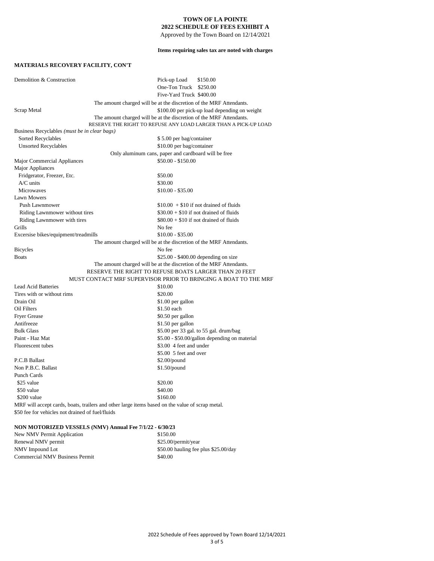Approved by the Town Board on 12/14/2021

**Items requiring sales tax are noted with charges**

## **MATERIALS RECOVERY FACILITY, CON'T**

| Demolition & Construction                                                                       | Pick-up Load<br>\$150.00<br>One-Ton Truck<br>\$250.00               |  |
|-------------------------------------------------------------------------------------------------|---------------------------------------------------------------------|--|
|                                                                                                 | Five-Yard Truck \$400.00                                            |  |
|                                                                                                 | The amount charged will be at the discretion of the MRF Attendants. |  |
| Scrap Metal                                                                                     | \$100.00 per pick-up load depending on weight                       |  |
|                                                                                                 | The amount charged will be at the discretion of the MRF Attendants. |  |
|                                                                                                 | RESERVE THE RIGHT TO REFUSE ANY LOAD LARGER THAN A PICK-UP LOAD     |  |
| Business Recyclables (must be in clear bags)                                                    |                                                                     |  |
| Sorted Recyclables                                                                              | \$5.00 per bag/container                                            |  |
| <b>Unsorted Recyclables</b>                                                                     | \$10.00 per bag/container                                           |  |
|                                                                                                 | Only aluminum cans, paper and cardboard will be free                |  |
| Major Commercial Appliances                                                                     | $$50.00 - $150.00$                                                  |  |
| Major Appliances                                                                                |                                                                     |  |
| Fridgerator, Freezer, Etc.                                                                      | \$50.00                                                             |  |
| $A/C$ units                                                                                     | \$30.00                                                             |  |
| <b>Microwaves</b>                                                                               | \$10.00 - \$35.00                                                   |  |
| <b>Lawn Mowers</b>                                                                              |                                                                     |  |
| <b>Push Lawnmower</b>                                                                           | $$10.00 + $10$ if not drained of fluids                             |  |
| Riding Lawnmower without tires                                                                  | $$30.00 + $10$ if not drained of fluids                             |  |
| Riding Lawnmower with tires                                                                     | $$80.00 + $10$ if not drained of fluids                             |  |
| Grills                                                                                          | No fee                                                              |  |
| Excersise bikes/equipment/treadmills                                                            | $$10.00 - $35.00$                                                   |  |
|                                                                                                 | The amount charged will be at the discretion of the MRF Attendants. |  |
| <b>Bicycles</b>                                                                                 | No fee                                                              |  |
| <b>Boats</b>                                                                                    | $$25.00 - $400.00$ depending on size                                |  |
|                                                                                                 | The amount charged will be at the discretion of the MRF Attendants. |  |
|                                                                                                 | RESERVE THE RIGHT TO REFUSE BOATS LARGER THAN 20 FEET               |  |
|                                                                                                 | MUST CONTACT MRF SUPERVISOR PRIOR TO BRINGING A BOAT TO THE MRF     |  |
| <b>Lead Acid Batteries</b>                                                                      | \$10.00                                                             |  |
| Tires with or without rims                                                                      | \$20.00                                                             |  |
| Drain Oil                                                                                       | \$1.00 per gallon                                                   |  |
| Oil Filters                                                                                     | \$1.50 each                                                         |  |
| <b>Fryer Grease</b>                                                                             | \$0.50 per gallon                                                   |  |
| Antifreeze                                                                                      | \$1.50 per gallon                                                   |  |
| <b>Bulk Glass</b>                                                                               | \$5.00 per 33 gal. to 55 gal. drum/bag                              |  |
| Paint - Haz Mat                                                                                 | \$5.00 - \$50.00/gallon depending on material                       |  |
| Fluorescent tubes                                                                               | \$3.00 4 feet and under                                             |  |
|                                                                                                 | \$5.00 5 feet and over                                              |  |
| P.C.B Ballast                                                                                   | $$2.00$ /pound                                                      |  |
| Non P.B.C. Ballast                                                                              | $$1.50$ /pound                                                      |  |
| <b>Punch Cards</b>                                                                              |                                                                     |  |
| \$25 value                                                                                      | \$20.00                                                             |  |
| \$50 value                                                                                      | \$40.00                                                             |  |
| \$200 value                                                                                     | \$160.00                                                            |  |
| MRF will accept cards, boats, trailers and other large items based on the value of scrap metal. |                                                                     |  |

\$50 fee for vehicles not drained of fuel/fluids

## **NON MOTORIZED VESSELS (NMV) Annual Fee 7/1/22 - 6/30/23**

| New NMV Permit Application            | \$150.00                             |
|---------------------------------------|--------------------------------------|
| Renewal NMV permit                    | \$25.00/permit/year                  |
| NMV Impound Lot                       | \$50.00 hauling fee plus \$25.00/day |
| <b>Commercial NMV Business Permit</b> | \$40.00                              |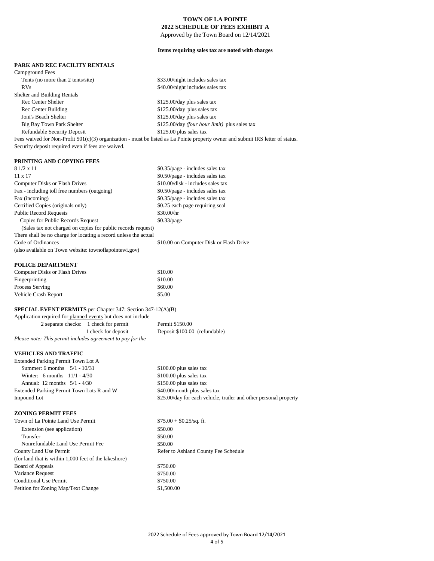Approved by the Town Board on 12/14/2021

## **Items requiring sales tax are noted with charges**

## **PARK AND REC FACILITY RENTALS**

| Campground Fees                                                                                                                   |                                               |  |
|-----------------------------------------------------------------------------------------------------------------------------------|-----------------------------------------------|--|
| Tents (no more than 2 tents/site)                                                                                                 | \$33.00/night includes sales tax              |  |
| RVs.                                                                                                                              | \$40.00/night includes sales tax              |  |
| Shelter and Building Rentals                                                                                                      |                                               |  |
| <b>Rec Center Shelter</b>                                                                                                         | \$125.00/day plus sales tax                   |  |
| Rec Center Building                                                                                                               | \$125.00/day plus sales tax                   |  |
| Joni's Beach Shelter                                                                                                              | \$125.00/day plus sales tax                   |  |
| Big Bay Town Park Shelter                                                                                                         | \$125.00/day (four hour limit) plus sales tax |  |
| <b>Refundable Security Deposit</b>                                                                                                | \$125.00 plus sales tax                       |  |
| Fees waived for Non-Profit $501(c)(3)$ organization - must be listed as La Pointe property owner and submit IRS letter of status. |                                               |  |
| Security deposit required even if fees are waived.                                                                                |                                               |  |

#### **PRINTING AND COPYING FEES**

| $81/2 \times 11$                                                 | \$0.35/page - includes sales tax        |
|------------------------------------------------------------------|-----------------------------------------|
| $11 \times 17$                                                   | \$0.50/page - includes sales tax        |
| <b>Computer Disks or Flash Drives</b>                            | $$10.00/disk - includes sales tax$      |
| Fax - including toll free numbers (outgoing)                     | \$0.50/page - includes sales tax        |
| Fax (incoming)                                                   | \$0.35/page - includes sales tax        |
| Certified Copies (originals only)                                | \$0.25 each page requiring seal         |
| <b>Public Record Requests</b>                                    | \$30.00/hr                              |
| Copies for Public Records Request                                | \$0.33/page                             |
| (Sales tax not charged on copies for public records request)     |                                         |
| There shall be no charge for locating a record unless the actual |                                         |
| Code of Ordinances                                               | \$10.00 on Computer Disk or Flash Drive |
| (also available on Town website: townoflapointewi.gov)           |                                         |
| <b>POLICE DEPARTMENT</b>                                         |                                         |

## Computer Disks or Flash Drives \$10.00 Fingerprinting \$10.00 Process Serving  $$60.00$

## **SPECIAL EVENT PERMITS** per Chapter 347: Section 347-12(A)(B)

Vehicle Crash Report \$5.00

| Application required for planned events but does not include |                                       |                               |
|--------------------------------------------------------------|---------------------------------------|-------------------------------|
|                                                              | 2 separate checks: 1 check for permit | Permit \$150.00               |
|                                                              | 1 check for deposit                   | Deposit \$100.00 (refundable) |
| Please note: This permit includes agreement to pay for the   |                                       |                               |

#### **VEHICLES AND TRAFFIC**

| Extended Parking Permit Town Lot A        |                                                                   |
|-------------------------------------------|-------------------------------------------------------------------|
| Summer: 6 months $5/1 - 10/31$            | \$100.00 plus sales tax                                           |
| Winter: 6 months $11/1 - 4/30$            | \$100.00 plus sales tax                                           |
| Annual: 12 months $5/1 - 4/30$            | $$150.00$ plus sales tax                                          |
| Extended Parking Permit Town Lots R and W | \$40.00/month plus sales tax                                      |
| Impound Lot                               | \$25.00/day for each vehicle, trailer and other personal property |

#### **ZONING PERMIT FEES**

| Town of La Pointe Land Use Permit                     | $$75.00 + $0.25$ /sq. ft.            |
|-------------------------------------------------------|--------------------------------------|
| Extension (see application)                           | \$50.00                              |
| Transfer                                              | \$50.00                              |
| Nonrefundable Land Use Permit Fee                     | \$50.00                              |
| County Land Use Permit                                | Refer to Ashland County Fee Schedule |
| (for land that is within 1,000 feet of the lakeshore) |                                      |
| Board of Appeals                                      | \$750.00                             |
| Variance Request                                      | \$750.00                             |
| <b>Conditional Use Permit</b>                         | \$750.00                             |
| Petition for Zoning Map/Text Change                   | \$1,500.00                           |
|                                                       |                                      |